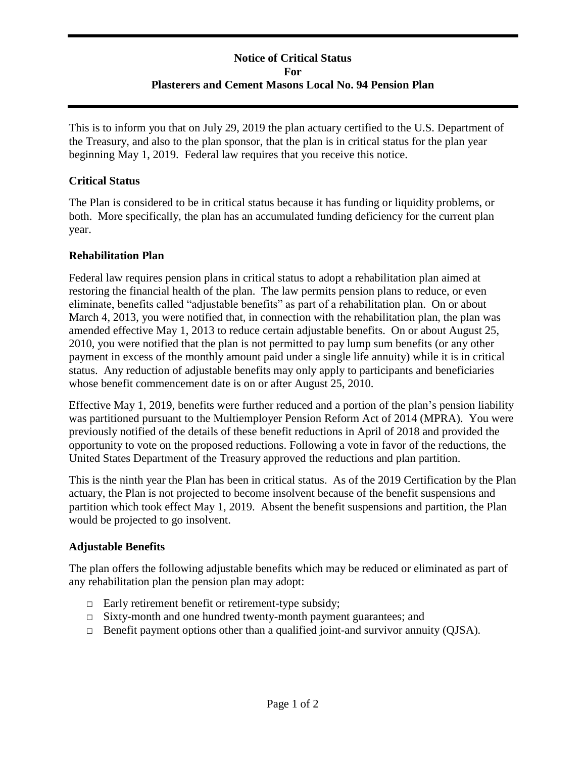# **Notice of Critical Status For Plasterers and Cement Masons Local No. 94 Pension Plan**

This is to inform you that on July 29, 2019 the plan actuary certified to the U.S. Department of the Treasury, and also to the plan sponsor, that the plan is in critical status for the plan year beginning May 1, 2019. Federal law requires that you receive this notice.

# **Critical Status**

The Plan is considered to be in critical status because it has funding or liquidity problems, or both. More specifically, the plan has an accumulated funding deficiency for the current plan year.

# **Rehabilitation Plan**

Federal law requires pension plans in critical status to adopt a rehabilitation plan aimed at restoring the financial health of the plan. The law permits pension plans to reduce, or even eliminate, benefits called "adjustable benefits" as part of a rehabilitation plan. On or about March 4, 2013, you were notified that, in connection with the rehabilitation plan, the plan was amended effective May 1, 2013 to reduce certain adjustable benefits. On or about August 25, 2010, you were notified that the plan is not permitted to pay lump sum benefits (or any other payment in excess of the monthly amount paid under a single life annuity) while it is in critical status. Any reduction of adjustable benefits may only apply to participants and beneficiaries whose benefit commencement date is on or after August 25, 2010.

Effective May 1, 2019, benefits were further reduced and a portion of the plan's pension liability was partitioned pursuant to the Multiemployer Pension Reform Act of 2014 (MPRA). You were previously notified of the details of these benefit reductions in April of 2018 and provided the opportunity to vote on the proposed reductions. Following a vote in favor of the reductions, the United States Department of the Treasury approved the reductions and plan partition.

This is the ninth year the Plan has been in critical status. As of the 2019 Certification by the Plan actuary, the Plan is not projected to become insolvent because of the benefit suspensions and partition which took effect May 1, 2019. Absent the benefit suspensions and partition, the Plan would be projected to go insolvent.

# **Adjustable Benefits**

The plan offers the following adjustable benefits which may be reduced or eliminated as part of any rehabilitation plan the pension plan may adopt:

- □ Early retirement benefit or retirement-type subsidy;
- □ Sixty-month and one hundred twenty-month payment guarantees; and
- □ Benefit payment options other than a qualified joint-and survivor annuity (QJSA).